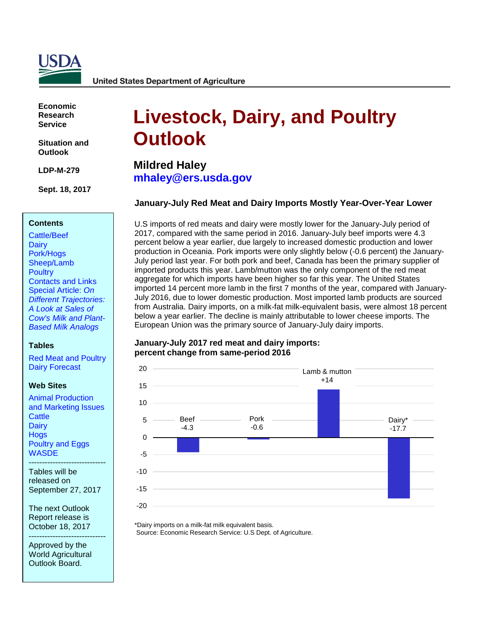

**United States Department of Agriculture** 

**Economic Research Service**

**Situation and Outlook**

**LDP-M-279**

**Sept. 18, 2017**

#### **Contents**

[Cattle/Beef](#page-2-0) **[Dairy](#page-5-0)** [Pork/Hogs](#page-11-0) [Sheep/Lamb](#page-14-0) **[Poultry](#page-16-0)** [Contacts and Links](#page-18-0)  Special Article: *On [Different Trajectories:](#page-21-0)  A Look at Sales of Cow's Milk and Plant-Based Milk Analogs*

#### **Tables**

[Red Meat and Poultry](#page-19-0) [Dairy Forecast](#page-20-0)

#### **Web Sites**

[Animal Production](https://www.ers.usda.gov/topics/animal-products/animal-production-marketing-issues/)  and [Marketing Issues](https://www.ers.usda.gov/topics/animal-products/animal-production-marketing-issues/) **[Cattle](https://www.ers.usda.gov/topics/animal-products/cattle-beef/) [Dairy](https://www.ers.usda.gov/topics/animal-products/dairy/) [Hogs](https://www.ers.usda.gov/topics/animal-products/hogs-pork/)** [Poultry and Eggs](https://www.ers.usda.gov/topics/animal-products/poultry-eggs/) **[WASDE](http://usda.mannlib.cornell.edu/MannUsda/viewDocumentInfo.do?documentID=1194)** 

Tables will be released on September 27, 2017

-----------------------------

The next Outlook Report release is October 18, 2017

----------------------------- Approved by the World Agricultural Outlook Board.

# **Livestock, Dairy, and Poultry Outlook**

**Mildred Haley [mhaley@ers.usda.gov](mailto:mhaley@ers.usda.gov)**

#### **January-July Red Meat and Dairy Imports Mostly Year-Over-Year Lower**

U.S imports of red meats and dairy were mostly lower for the January-July period of 2017, compared with the same period in 2016. January-July beef imports were 4.3 percent below a year earlier, due largely to increased domestic production and lower production in Oceania. Pork imports were only slightly below (-0.6 percent) the January-July period last year. For both pork and beef, Canada has been the primary supplier of imported products this year. Lamb/mutton was the only component of the red meat aggregate for which imports have been higher so far this year. The United States imported 14 percent more lamb in the first 7 months of the year, compared with January-July 2016, due to lower domestic production. Most imported lamb products are sourced from Australia. Dairy imports, on a milk-fat milk-equivalent basis, were almost 18 percent below a year earlier. The decline is mainly attributable to lower cheese imports. The European Union was the primary source of January-July dairy imports.

#### **January-July 2017 red meat and dairy imports: percent change from same-period 2016**



\*Dairy imports on a milk-fat milk equivalent basis. Source: Economic Research Service: U.S Dept. of Agriculture.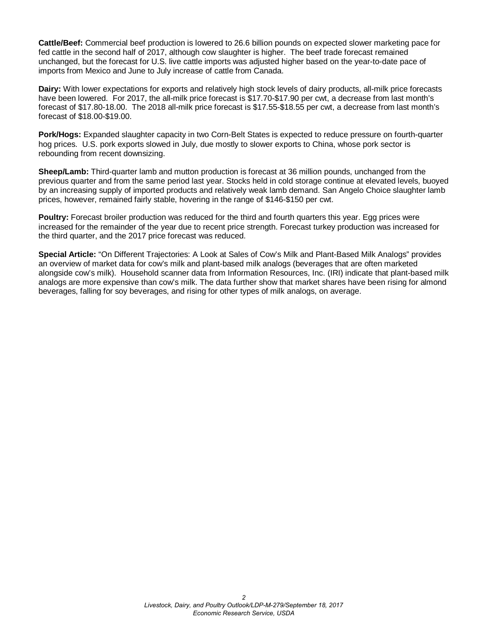**Cattle/Beef:** Commercial beef production is lowered to 26.6 billion pounds on expected slower marketing pace for fed cattle in the second half of 2017, although cow slaughter is higher. The beef trade forecast remained unchanged, but the forecast for U.S. live cattle imports was adjusted higher based on the year-to-date pace of imports from Mexico and June to July increase of cattle from Canada.

**Dairy:** With lower expectations for exports and relatively high stock levels of dairy products, all-milk price forecasts have been lowered. For 2017, the all-milk price forecast is \$17.70-\$17.90 per cwt, a decrease from last month's forecast of \$17.80-18.00. The 2018 all-milk price forecast is \$17.55-\$18.55 per cwt, a decrease from last month's forecast of \$18.00-\$19.00.

**Pork/Hogs:** Expanded slaughter capacity in two Corn-Belt States is expected to reduce pressure on fourth-quarter hog prices. U.S. pork exports slowed in July, due mostly to slower exports to China, whose pork sector is rebounding from recent downsizing.

**Sheep/Lamb:** Third-quarter lamb and mutton production is forecast at 36 million pounds, unchanged from the previous quarter and from the same period last year. Stocks held in cold storage continue at elevated levels, buoyed by an increasing supply of imported products and relatively weak lamb demand. San Angelo Choice slaughter lamb prices, however, remained fairly stable, hovering in the range of \$146-\$150 per cwt.

**Poultry:** Forecast broiler production was reduced for the third and fourth quarters this year. Egg prices were increased for the remainder of the year due to recent price strength. Forecast turkey production was increased for the third quarter, and the 2017 price forecast was reduced.

**Special Article:** "On Different Trajectories: A Look at Sales of Cow's Milk and Plant-Based Milk Analogs" provides an overview of market data for cow's milk and plant-based milk analogs (beverages that are often marketed alongside cow's milk). Household scanner data from Information Resources, Inc. (IRI) indicate that plant-based milk analogs are more expensive than cow's milk. The data further show that market shares have been rising for almond beverages, falling for soy beverages, and rising for other types of milk analogs, on average.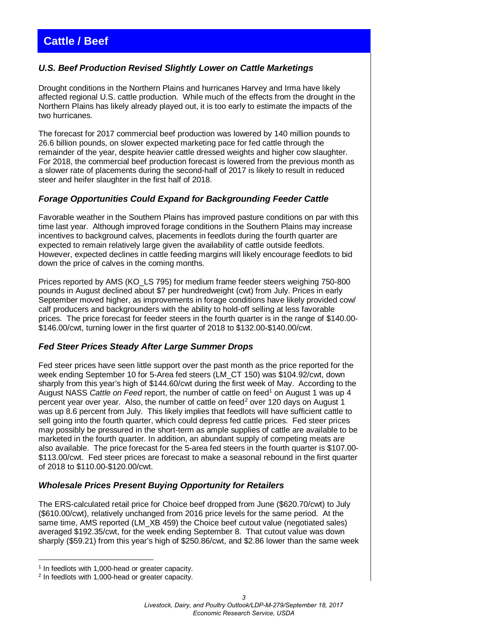# <span id="page-2-0"></span>**Cattle / Beef**

## *U.S. Beef Production Revised Slightly Lower on Cattle Marketings*

Drought conditions in the Northern Plains and hurricanes Harvey and Irma have likely affected regional U.S. cattle production. While much of the effects from the drought in the Northern Plains has likely already played out, it is too early to estimate the impacts of the two hurricanes.

The forecast for 2017 commercial beef production was lowered by 140 million pounds to 26.6 billion pounds, on slower expected marketing pace for fed cattle through the remainder of the year, despite heavier cattle dressed weights and higher cow slaughter. For 2018, the commercial beef production forecast is lowered from the previous month as a slower rate of placements during the second-half of 2017 is likely to result in reduced steer and heifer slaughter in the first half of 2018.

#### *Forage Opportunities Could Expand for Backgrounding Feeder Cattle*

Favorable weather in the Southern Plains has improved pasture conditions on par with this time last year. Although improved forage conditions in the Southern Plains may increase incentives to background calves, placements in feedlots during the fourth quarter are expected to remain relatively large given the availability of cattle outside feedlots. However, expected declines in cattle feeding margins will likely encourage feedlots to bid down the price of calves in the coming months.

Prices reported by AMS (KO\_LS 795) for medium frame feeder steers weighing 750-800 pounds in August declined about \$7 per hundredweight (cwt) from July. Prices in early September moved higher, as improvements in forage conditions have likely provided cow/ calf producers and backgrounders with the ability to hold-off selling at less favorable prices. The price forecast for feeder steers in the fourth quarter is in the range of \$140.00- \$146.00/cwt, turning lower in the first quarter of 2018 to \$132.00-\$140.00/cwt.

## *Fed Steer Prices Steady After Large Summer Drops*

Fed steer prices have seen little support over the past month as the price reported for the week ending September 10 for 5-Area fed steers (LM\_CT 150) was \$104.92/cwt, down sharply from this year's high of \$144.60/cwt during the first week of May. According to the August NASS *Cattle on Feed* report, the number of cattle on feed<sup>1</sup> on August 1 was up 4 percent year over year. Also, the number of cattle on feed<sup>[2](#page-2-2)</sup> over 120 days on August 1 was up 8.6 percent from July. This likely implies that feedlots will have sufficient cattle to sell going into the fourth quarter, which could depress fed cattle prices. Fed steer prices may possibly be pressured in the short-term as ample supplies of cattle are available to be marketed in the fourth quarter. In addition, an abundant supply of competing meats are also available. The price forecast for the 5-area fed steers in the fourth quarter is \$107.00- \$113.00/cwt. Fed steer prices are forecast to make a seasonal rebound in the first quarter of 2018 to \$110.00-\$120.00/cwt.

#### *Wholesale Prices Present Buying Opportunity for Retailers*

The ERS-calculated retail price for Choice beef dropped from June (\$620.70/cwt) to July (\$610.00/cwt), relatively unchanged from 2016 price levels for the same period. At the same time, AMS reported (LM\_XB 459) the Choice beef cutout value (negotiated sales) averaged \$192.35/cwt, for the week ending September 8. That cutout value was down sharply (\$59.21) from this year's high of \$250.86/cwt, and \$2.86 lower than the same week

<sup>-</sup><sup>1</sup> In feedlots with 1,000-head or greater capacity.

<span id="page-2-2"></span><span id="page-2-1"></span><sup>2</sup> In feedlots with 1,000-head or greater capacity.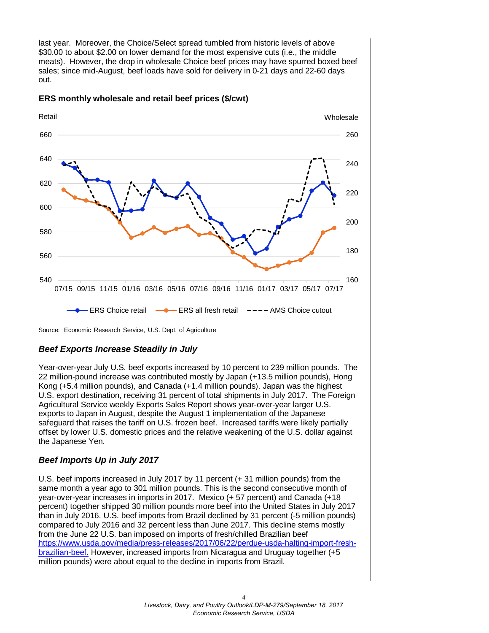last year. Moreover, the Choice/Select spread tumbled from historic levels of above \$30.00 to about \$2.00 on lower demand for the most expensive cuts (i.e., the middle meats). However, the drop in wholesale Choice beef prices may have spurred boxed beef sales; since mid-August, beef loads have sold for delivery in 0-21 days and 22-60 days out.



#### **ERS monthly wholesale and retail beef prices (\$/cwt)**

Source: Economic Research Service, U.S. Dept. of Agriculture

## *Beef Exports Increase Steadily in July*

Year-over-year July U.S. beef exports increased by 10 percent to 239 million pounds. The 22 million-pound increase was contributed mostly by Japan (+13.5 million pounds), Hong Kong (+5.4 million pounds), and Canada (+1.4 million pounds). Japan was the highest U.S. export destination, receiving 31 percent of total shipments in July 2017. The Foreign Agricultural Service weekly Exports Sales Report shows year-over-year larger U.S. exports to Japan in August, despite the August 1 implementation of the Japanese safeguard that raises the tariff on U.S. frozen beef. Increased tariffs were likely partially offset by lower U.S. domestic prices and the relative weakening of the U.S. dollar against the Japanese Yen.

## *Beef Imports Up in July 2017*

U.S. beef imports increased in July 2017 by 11 percent (+ 31 million pounds) from the same month a year ago to 301 million pounds. This is the second consecutive month of year-over-year increases in imports in 2017. Mexico (+ 57 percent) and Canada (+18 percent) together shipped 30 million pounds more beef into the United States in July 2017 than in July 2016. U.S. beef imports from Brazil declined by 31 percent (-5 million pounds) compared to July 2016 and 32 percent less than June 2017. This decline stems mostly from the June 22 U.S. ban imposed on imports of fresh/chilled Brazilian beef https://www.usda.gov/media/press-releases/2017/06/22/perdue-usda-halting-import-freshbrazilian-beef. However, increased imports from Nicaragua and Uruguay together (+5 million pounds) were about equal to the decline in imports from Brazil.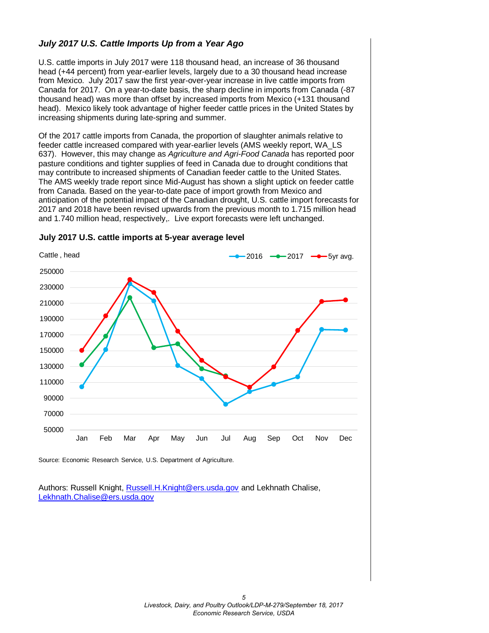## *July 2017 U.S. Cattle Imports Up from a Year Ago*

U.S. cattle imports in July 2017 were 118 thousand head, an increase of 36 thousand head (+44 percent) from year-earlier levels, largely due to a 30 thousand head increase from Mexico. July 2017 saw the first year-over-year increase in live cattle imports from Canada for 2017. On a year-to-date basis, the sharp decline in imports from Canada (-87 thousand head) was more than offset by increased imports from Mexico (+131 thousand head). Mexico likely took advantage of higher feeder cattle prices in the United States by increasing shipments during late-spring and summer.

Of the 2017 cattle imports from Canada, the proportion of slaughter animals relative to feeder cattle increased compared with year-earlier levels (AMS weekly report, WA\_LS 637). However, this may change as *Agriculture and Agri-Food Canada* has reported poor pasture conditions and tighter supplies of feed in Canada due to drought conditions that may contribute to increased shipments of Canadian feeder cattle to the United States. The AMS weekly trade report since Mid-August has shown a slight uptick on feeder cattle from Canada. Based on the year-to-date pace of import growth from Mexico and anticipation of the potential impact of the Canadian drought, U.S. cattle import forecasts for 2017 and 2018 have been revised upwards from the previous month to 1.715 million head and 1.740 million head, respectively,. Live export forecasts were left unchanged.



#### **July 2017 U.S. cattle imports at 5-year average level**

Source: Economic Research Service, U.S. Department of Agriculture.

Authors: Russell Knight[, Russell.H.Knight@ers.usda.gov](mailto:russell.h.knight@ers.usda.gov) and Lekhnath Chalise, [Lekhnath.Chalise@ers.usda.gov](mailto:Lekhnath.Chalise@ers.usda.gov)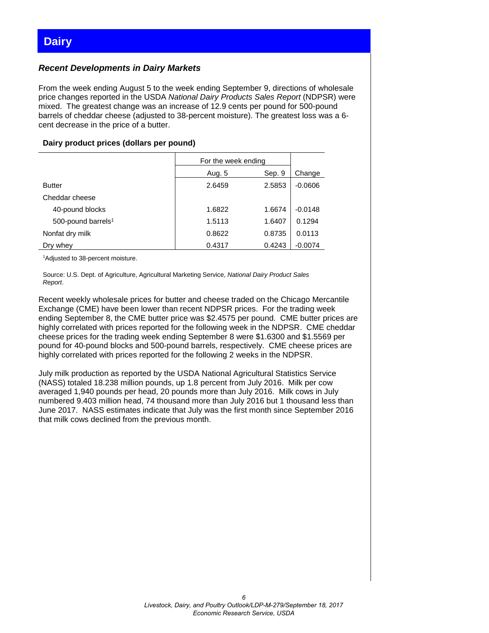## <span id="page-5-0"></span>*Recent Developments in Dairy Markets*

From the week ending August 5 to the week ending September 9, directions of wholesale price changes reported in the USDA *National Dairy Products Sales Report* (NDPSR) were mixed. The greatest change was an increase of 12.9 cents per pound for 500-pound barrels of cheddar cheese (adjusted to 38-percent moisture). The greatest loss was a 6 cent decrease in the price of a butter.

#### **Dairy product prices (dollars per pound)**

|                                | For the week ending |        |           |
|--------------------------------|---------------------|--------|-----------|
|                                | Aug. 5              | Change |           |
| <b>Butter</b>                  | 2.6459              | 2.5853 | $-0.0606$ |
| Cheddar cheese                 |                     |        |           |
| 40-pound blocks                | 1.6822              | 1.6674 | $-0.0148$ |
| 500-pound barrels <sup>1</sup> | 1.5113              | 1.6407 | 0.1294    |
| Nonfat dry milk                | 0.8622              | 0.8735 | 0.0113    |
| Dry whey                       | 0.4317              | 0.4243 | $-0.0074$ |

<sup>1</sup>Adjusted to 38-percent moisture.

Source: U.S. Dept. of Agriculture, Agricultural Marketing Service, *National Dairy Product Sales Report*.

Recent weekly wholesale prices for butter and cheese traded on the Chicago Mercantile Exchange (CME) have been lower than recent NDPSR prices. For the trading week ending September 8, the CME butter price was \$2.4575 per pound. CME butter prices are highly correlated with prices reported for the following week in the NDPSR. CME cheddar cheese prices for the trading week ending September 8 were \$1.6300 and \$1.5569 per pound for 40-pound blocks and 500-pound barrels, respectively. CME cheese prices are highly correlated with prices reported for the following 2 weeks in the NDPSR.

July milk production as reported by the USDA National Agricultural Statistics Service (NASS) totaled 18.238 million pounds, up 1.8 percent from July 2016. Milk per cow averaged 1,940 pounds per head, 20 pounds more than July 2016. Milk cows in July numbered 9.403 million head, 74 thousand more than July 2016 but 1 thousand less than June 2017. NASS estimates indicate that July was the first month since September 2016 that milk cows declined from the previous month.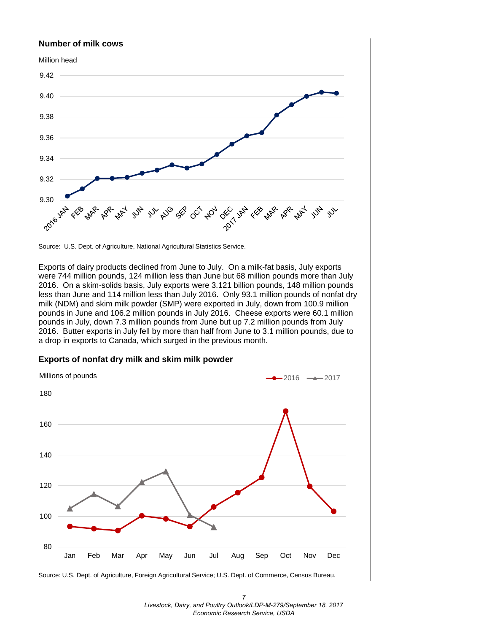#### **Number of milk cows**



Source: U.S. Dept. of Agriculture, National Agricultural Statistics Service.

Exports of dairy products declined from June to July. On a milk-fat basis, July exports were 744 million pounds, 124 million less than June but 68 million pounds more than July 2016. On a skim-solids basis, July exports were 3.121 billion pounds, 148 million pounds less than June and 114 million less than July 2016. Only 93.1 million pounds of nonfat dry milk (NDM) and skim milk powder (SMP) were exported in July, down from 100.9 million pounds in June and 106.2 million pounds in July 2016. Cheese exports were 60.1 million pounds in July, down 7.3 million pounds from June but up 7.2 million pounds from July 2016. Butter exports in July fell by more than half from June to 3.1 million pounds, due to a drop in exports to Canada, which surged in the previous month.

#### **Exports of nonfat dry milk and skim milk powder**



Source: U.S. Dept. of Agriculture, Foreign Agricultural Service; U.S. Dept. of Commerce, Census Bureau.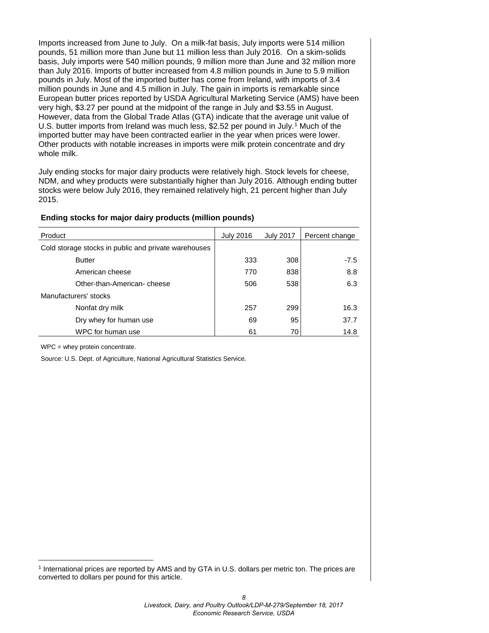Imports increased from June to July. On a milk-fat basis, July imports were 514 million pounds, 51 million more than June but 11 million less than July 2016. On a skim-solids basis, July imports were 540 million pounds, 9 million more than June and 32 million more than July 2016. Imports of butter increased from 4.8 million pounds in June to 5.9 million pounds in July. Most of the imported butter has come from Ireland, with imports of 3.4 million pounds in June and 4.5 million in July. The gain in imports is remarkable since European butter prices reported by USDA Agricultural Marketing Service (AMS) have been very high, \$3.27 per pound at the midpoint of the range in July and \$3.55 in August. However, data from the Global Trade Atlas (GTA) indicate that the average unit value of U.S. butter imports from Ireland was much less, \$2.52 per pound in July.<sup>[1](#page-7-0)</sup> Much of the imported butter may have been contracted earlier in the year when prices were lower. Other products with notable increases in imports were milk protein concentrate and dry whole milk.

July ending stocks for major dairy products were relatively high. Stock levels for cheese, NDM, and whey products were substantially higher than July 2016. Although ending butter stocks were below July 2016, they remained relatively high, 21 percent higher than July 2015.

#### **Ending stocks for major dairy products (million pounds)**

| Product                                              | July 2016 | <b>July 2017</b> | Percent change |
|------------------------------------------------------|-----------|------------------|----------------|
| Cold storage stocks in public and private warehouses |           |                  |                |
| <b>Butter</b>                                        | 333       | 308              | $-7.5$         |
| American cheese                                      | 770       | 838              | 8.8            |
| Other-than-American-cheese                           | 506       | 538              | 6.3            |
| Manufacturers' stocks                                |           |                  |                |
| Nonfat dry milk                                      | 257       | 299              | 16.3           |
| Dry whey for human use                               | 69        | 95               | 37.7           |
| WPC for human use                                    | 61        | 70               | 14.8           |

WPC = whey protein concentrate.

Source: U.S. Dept. of Agriculture, National Agricultural Statistics Service.

<span id="page-7-0"></span><sup>1</sup> International prices are reported by AMS and by GTA in U.S. dollars per metric ton. The prices are converted to dollars per pound for this article.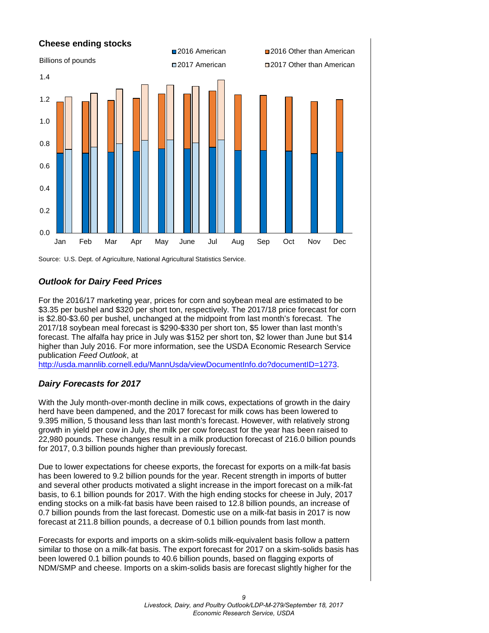

Source: U.S. Dept. of Agriculture, National Agricultural Statistics Service.

## *Outlook for Dairy Feed Prices*

For the 2016/17 marketing year, prices for corn and soybean meal are estimated to be \$3.35 per bushel and \$320 per short ton, respectively. The 2017/18 price forecast for corn is \$2.80-\$3.60 per bushel, unchanged at the midpoint from last month's forecast. The 2017/18 soybean meal forecast is \$290-\$330 per short ton, \$5 lower than last month's forecast. The alfalfa hay price in July was \$152 per short ton, \$2 lower than June but \$14 higher than July 2016. For more information, see the USDA Economic Research Service publication *Feed Outlook*, at

[http://usda.mannlib.cornell.edu/MannUsda/viewDocumentInfo.do?documentID=1273.](http://usda.mannlib.cornell.edu/MannUsda/viewDocumentInfo.do?documentID=1273)

## *Dairy Forecasts for 2017*

With the July month-over-month decline in milk cows, expectations of growth in the dairy herd have been dampened, and the 2017 forecast for milk cows has been lowered to 9.395 million, 5 thousand less than last month's forecast. However, with relatively strong growth in yield per cow in July, the milk per cow forecast for the year has been raised to 22,980 pounds. These changes result in a milk production forecast of 216.0 billion pounds for 2017, 0.3 billion pounds higher than previously forecast.

Due to lower expectations for cheese exports, the forecast for exports on a milk-fat basis has been lowered to 9.2 billion pounds for the year. Recent strength in imports of butter and several other products motivated a slight increase in the import forecast on a milk-fat basis, to 6.1 billion pounds for 2017. With the high ending stocks for cheese in July, 2017 ending stocks on a milk-fat basis have been raised to 12.8 billion pounds, an increase of 0.7 billion pounds from the last forecast. Domestic use on a milk-fat basis in 2017 is now forecast at 211.8 billion pounds, a decrease of 0.1 billion pounds from last month.

Forecasts for exports and imports on a skim-solids milk-equivalent basis follow a pattern similar to those on a milk-fat basis. The export forecast for 2017 on a skim-solids basis has been lowered 0.1 billion pounds to 40.6 billion pounds, based on flagging exports of NDM/SMP and cheese. Imports on a skim-solids basis are forecast slightly higher for the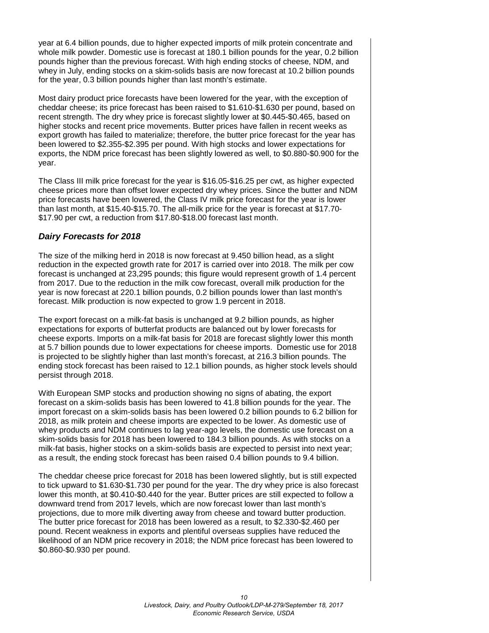year at 6.4 billion pounds, due to higher expected imports of milk protein concentrate and whole milk powder. Domestic use is forecast at 180.1 billion pounds for the year, 0.2 billion pounds higher than the previous forecast. With high ending stocks of cheese, NDM, and whey in July, ending stocks on a skim-solids basis are now forecast at 10.2 billion pounds for the year, 0.3 billion pounds higher than last month's estimate.

Most dairy product price forecasts have been lowered for the year, with the exception of cheddar cheese; its price forecast has been raised to \$1.610-\$1.630 per pound, based on recent strength. The dry whey price is forecast slightly lower at \$0.445-\$0.465, based on higher stocks and recent price movements. Butter prices have fallen in recent weeks as export growth has failed to materialize; therefore, the butter price forecast for the year has been lowered to \$2.355-\$2.395 per pound. With high stocks and lower expectations for exports, the NDM price forecast has been slightly lowered as well, to \$0.880-\$0.900 for the year.

The Class III milk price forecast for the year is \$16.05-\$16.25 per cwt, as higher expected cheese prices more than offset lower expected dry whey prices. Since the butter and NDM price forecasts have been lowered, the Class IV milk price forecast for the year is lower than last month, at \$15.40-\$15.70. The all-milk price for the year is forecast at \$17.70- \$17.90 per cwt, a reduction from \$17.80-\$18.00 forecast last month.

## *Dairy Forecasts for 2018*

The size of the milking herd in 2018 is now forecast at 9.450 billion head, as a slight reduction in the expected growth rate for 2017 is carried over into 2018. The milk per cow forecast is unchanged at 23,295 pounds; this figure would represent growth of 1.4 percent from 2017. Due to the reduction in the milk cow forecast, overall milk production for the year is now forecast at 220.1 billion pounds, 0.2 billion pounds lower than last month's forecast. Milk production is now expected to grow 1.9 percent in 2018.

The export forecast on a milk-fat basis is unchanged at 9.2 billion pounds, as higher expectations for exports of butterfat products are balanced out by lower forecasts for cheese exports. Imports on a milk-fat basis for 2018 are forecast slightly lower this month at 5.7 billion pounds due to lower expectations for cheese imports. Domestic use for 2018 is projected to be slightly higher than last month's forecast, at 216.3 billion pounds. The ending stock forecast has been raised to 12.1 billion pounds, as higher stock levels should persist through 2018.

With European SMP stocks and production showing no signs of abating, the export forecast on a skim-solids basis has been lowered to 41.8 billion pounds for the year. The import forecast on a skim-solids basis has been lowered 0.2 billion pounds to 6.2 billion for 2018, as milk protein and cheese imports are expected to be lower. As domestic use of whey products and NDM continues to lag year-ago levels, the domestic use forecast on a skim-solids basis for 2018 has been lowered to 184.3 billion pounds. As with stocks on a milk-fat basis, higher stocks on a skim-solids basis are expected to persist into next year; as a result, the ending stock forecast has been raised 0.4 billion pounds to 9.4 billion.

The cheddar cheese price forecast for 2018 has been lowered slightly, but is still expected to tick upward to \$1.630-\$1.730 per pound for the year. The dry whey price is also forecast lower this month, at \$0.410-\$0.440 for the year. Butter prices are still expected to follow a downward trend from 2017 levels, which are now forecast lower than last month's projections, due to more milk diverting away from cheese and toward butter production. The butter price forecast for 2018 has been lowered as a result, to \$2.330-\$2.460 per pound. Recent weakness in exports and plentiful overseas supplies have reduced the likelihood of an NDM price recovery in 2018; the NDM price forecast has been lowered to \$0.860-\$0.930 per pound.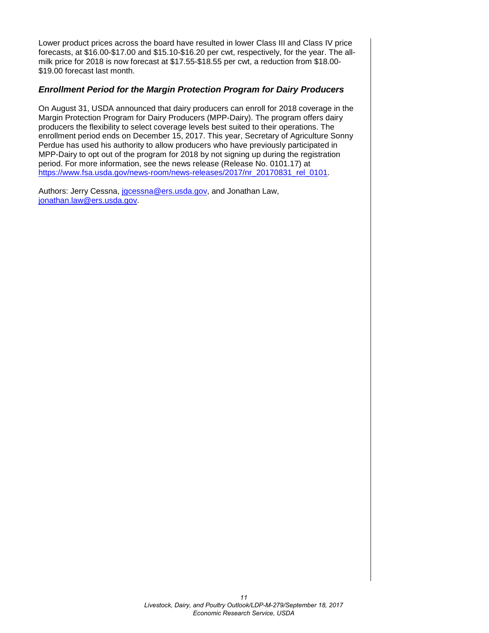Lower product prices across the board have resulted in lower Class III and Class IV price forecasts, at \$16.00-\$17.00 and \$15.10-\$16.20 per cwt, respectively, for the year. The allmilk price for 2018 is now forecast at \$17.55-\$18.55 per cwt, a reduction from \$18.00- \$19.00 forecast last month.

#### *Enrollment Period for the Margin Protection Program for Dairy Producers*

On August 31, USDA announced that dairy producers can enroll for 2018 coverage in the Margin Protection Program for Dairy Producers (MPP-Dairy). The program offers dairy producers the flexibility to select coverage levels best suited to their operations. The enrollment period ends on December 15, 2017. This year, Secretary of Agriculture Sonny Perdue has used his authority to allow producers who have previously participated in MPP-Dairy to opt out of the program for 2018 by not signing up during the registration period. For more information, see the news release (Release No. 0101.17) at [https://www.fsa.usda.gov/news-room/news-releases/2017/nr\\_20170831\\_rel\\_0101.](https://www.fsa.usda.gov/news-room/news-releases/2017/nr_20170831_rel_0101)

Authors: Jerry Cessna, [jgcessna@ers.usda.gov,](mailto:jgcessna@ers.usda.gov) and Jonathan Law, [jonathan.law@ers.usda.gov.](mailto:jonathan.law@ers.usda.gov)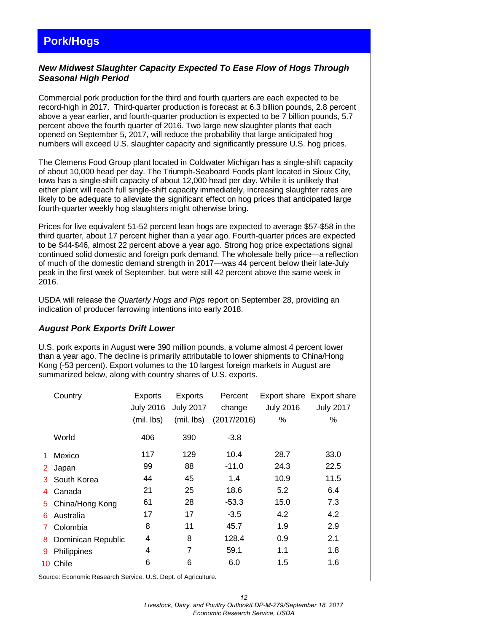# <span id="page-11-0"></span>**Pork/Hogs**

## *New Midwest Slaughter Capacity Expected To Ease Flow of Hogs Through Seasonal High Period*

Commercial pork production for the third and fourth quarters are each expected to be record-high in 2017. Third-quarter production is forecast at 6.3 billion pounds, 2.8 percent above a year earlier, and fourth-quarter production is expected to be 7 billion pounds, 5.7 percent above the fourth quarter of 2016. Two large new slaughter plants that each opened on September 5, 2017, will reduce the probability that large anticipated hog numbers will exceed U.S. slaughter capacity and significantly pressure U.S. hog prices.

The Clemens Food Group plant located in Coldwater Michigan has a single-shift capacity of about 10,000 head per day. The Triumph-Seaboard Foods plant located in Sioux City, Iowa has a single-shift capacity of about 12,000 head per day. While it is unlikely that either plant will reach full single-shift capacity immediately, increasing slaughter rates are likely to be adequate to alleviate the significant effect on hog prices that anticipated large fourth-quarter weekly hog slaughters might otherwise bring.

Prices for live equivalent 51-52 percent lean hogs are expected to average \$57-\$58 in the third quarter, about 17 percent higher than a year ago. Fourth-quarter prices are expected to be \$44-\$46, almost 22 percent above a year ago. Strong hog price expectations signal continued solid domestic and foreign pork demand. The wholesale belly price—a reflection of much of the domestic demand strength in 2017—was 44 percent below their late-July peak in the first week of September, but were still 42 percent above the same week in 2016.

USDA will release the *Quarterly Hogs and Pigs* report on September 28, providing an indication of producer farrowing intentions into early 2018.

#### *August Pork Exports Drift Lower*

U.S. pork exports in August were 390 million pounds, a volume almost 4 percent lower than a year ago. The decline is primarily attributable to lower shipments to China/Hong Kong (-53 percent). Export volumes to the 10 largest foreign markets in August are summarized below, along with country shares of U.S. exports.

|                | Country            | Exports          | <b>Exports</b>   | Percent     |                  | Export share Export share |
|----------------|--------------------|------------------|------------------|-------------|------------------|---------------------------|
|                |                    | <b>July 2016</b> | <b>July 2017</b> | change      | <b>July 2016</b> | <b>July 2017</b>          |
|                |                    | (mil. lbs)       | (mil. lbs)       | (2017/2016) | %                | %                         |
|                | World              | 406              | 390              | -3.8        |                  |                           |
| 1              | Mexico             | 117              | 129              | 10.4        | 28.7             | 33.0                      |
| 2 <sup>1</sup> | Japan              | 99               | 88               | $-11.0$     | 24.3             | 22.5                      |
| 3.             | South Korea        | 44               | 45               | 1.4         | 10.9             | 11.5                      |
| 4              | Canada             | 21               | 25               | 18.6        | 5.2              | 6.4                       |
| 5.             | China/Hong Kong    | 61               | 28               | $-53.3$     | 15.0             | 7.3                       |
| 6.             | Australia          | 17               | 17               | $-3.5$      | 4.2              | 4.2                       |
| 7.             | Colombia           | 8                | 11               | 45.7        | 1.9              | 2.9                       |
| 8.             | Dominican Republic | 4                | 8                | 128.4       | 0.9              | 2.1                       |
| 9              | Philippines        | 4                | 7                | 59.1        | 1.1              | 1.8                       |
|                | 10 Chile           | 6                | 6                | 6.0         | 1.5              | 1.6                       |
|                |                    |                  |                  |             |                  |                           |

Source: Economic Research Service, U.S. Dept. of Agriculture.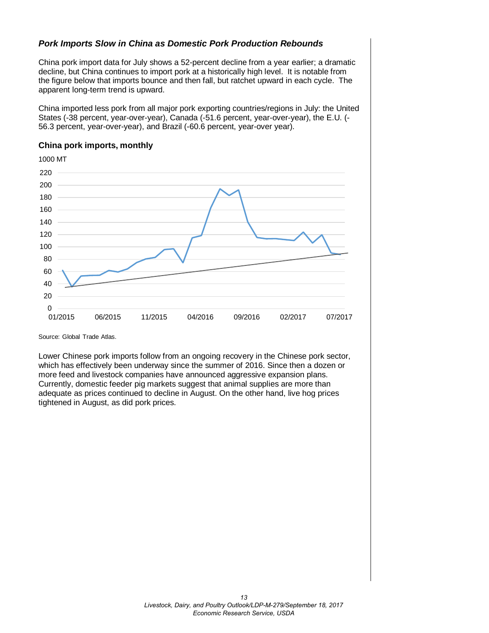## *Pork Imports Slow in China as Domestic Pork Production Rebounds*

China pork import data for July shows a 52-percent decline from a year earlier; a dramatic decline, but China continues to import pork at a historically high level. It is notable from the figure below that imports bounce and then fall, but ratchet upward in each cycle. The apparent long-term trend is upward.

China imported less pork from all major pork exporting countries/regions in July: the United States (-38 percent, year-over-year), Canada (-51.6 percent, year-over-year), the E.U. (- 56.3 percent, year-over-year), and Brazil (-60.6 percent, year-over year).



#### **China pork imports, monthly**

Source: Global Trade Atlas.

Lower Chinese pork imports follow from an ongoing recovery in the Chinese pork sector, which has effectively been underway since the summer of 2016. Since then a dozen or more feed and livestock companies have announced aggressive expansion plans. Currently, domestic feeder pig markets suggest that animal supplies are more than adequate as prices continued to decline in August. On the other hand, live hog prices tightened in August, as did pork prices.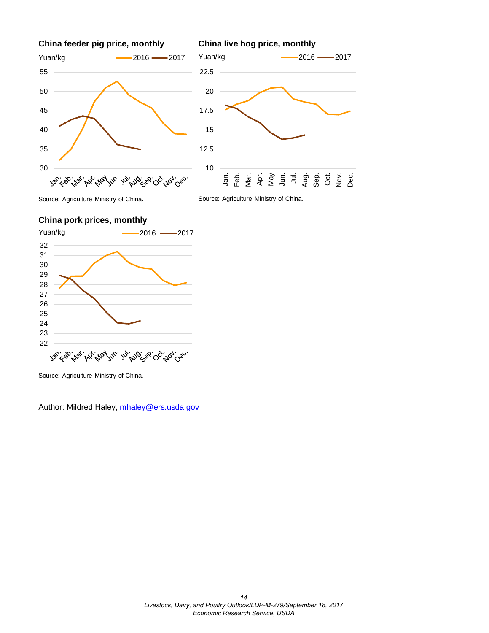



Source: Agriculture Ministry of China.

Source: Agriculture Ministry of China.







Source: Agriculture Ministry of China.

Author: Mildred Haley, [mhaley@ers.usda.gov](mailto:mhaley@ers.usda.gov)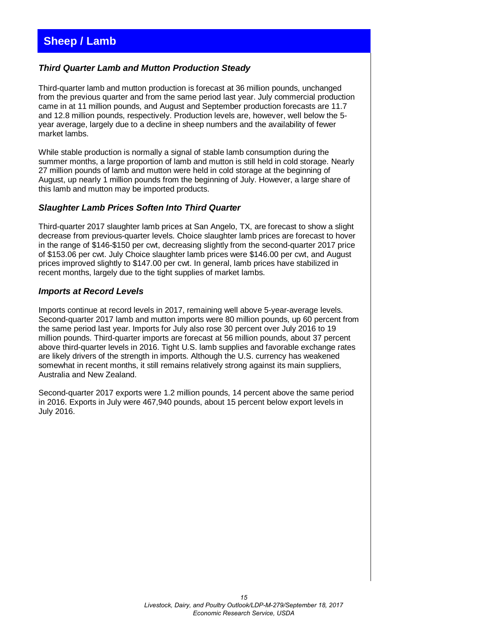## <span id="page-14-0"></span>*Third Quarter Lamb and Mutton Production Steady*

Third-quarter lamb and mutton production is forecast at 36 million pounds, unchanged from the previous quarter and from the same period last year. July commercial production came in at 11 million pounds, and August and September production forecasts are 11.7 and 12.8 million pounds, respectively. Production levels are, however, well below the 5 year average, largely due to a decline in sheep numbers and the availability of fewer market lambs.

While stable production is normally a signal of stable lamb consumption during the summer months, a large proportion of lamb and mutton is still held in cold storage. Nearly 27 million pounds of lamb and mutton were held in cold storage at the beginning of August, up nearly 1 million pounds from the beginning of July. However, a large share of this lamb and mutton may be imported products.

#### *Slaughter Lamb Prices Soften Into Third Quarter*

Third-quarter 2017 slaughter lamb prices at San Angelo, TX, are forecast to show a slight decrease from previous-quarter levels. Choice slaughter lamb prices are forecast to hover in the range of \$146-\$150 per cwt, decreasing slightly from the second-quarter 2017 price of \$153.06 per cwt. July Choice slaughter lamb prices were \$146.00 per cwt, and August prices improved slightly to \$147.00 per cwt. In general, lamb prices have stabilized in recent months, largely due to the tight supplies of market lambs.

#### *Imports at Record Levels*

Imports continue at record levels in 2017, remaining well above 5-year-average levels. Second-quarter 2017 lamb and mutton imports were 80 million pounds, up 60 percent from the same period last year. Imports for July also rose 30 percent over July 2016 to 19 million pounds. Third-quarter imports are forecast at 56 million pounds, about 37 percent above third-quarter levels in 2016. Tight U.S. lamb supplies and favorable exchange rates are likely drivers of the strength in imports. Although the U.S. currency has weakened somewhat in recent months, it still remains relatively strong against its main suppliers, Australia and New Zealand.

Second-quarter 2017 exports were 1.2 million pounds, 14 percent above the same period in 2016. Exports in July were 467,940 pounds, about 15 percent below export levels in July 2016.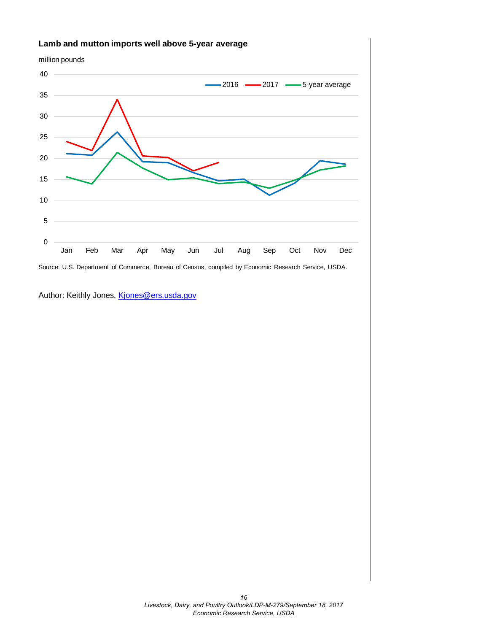

Author: Keithly Jones, [Kjones@ers.usda.gov](mailto:Kjones@ers.usda.gov)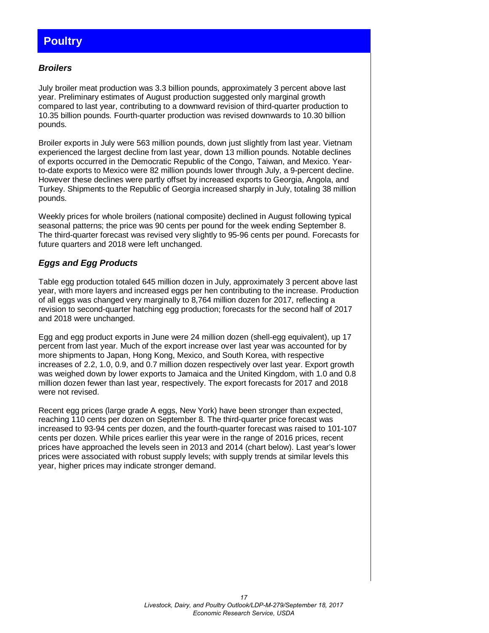# <span id="page-16-0"></span>**Poultry**

#### *Broilers*

July broiler meat production was 3.3 billion pounds, approximately 3 percent above last year. Preliminary estimates of August production suggested only marginal growth compared to last year, contributing to a downward revision of third-quarter production to 10.35 billion pounds. Fourth-quarter production was revised downwards to 10.30 billion pounds.

Broiler exports in July were 563 million pounds, down just slightly from last year. Vietnam experienced the largest decline from last year, down 13 million pounds. Notable declines of exports occurred in the Democratic Republic of the Congo, Taiwan, and Mexico. Yearto-date exports to Mexico were 82 million pounds lower through July, a 9-percent decline. However these declines were partly offset by increased exports to Georgia, Angola, and Turkey. Shipments to the Republic of Georgia increased sharply in July, totaling 38 million pounds.

Weekly prices for whole broilers (national composite) declined in August following typical seasonal patterns; the price was 90 cents per pound for the week ending September 8. The third-quarter forecast was revised very slightly to 95-96 cents per pound. Forecasts for future quarters and 2018 were left unchanged.

## *Eggs and Egg Products*

Table egg production totaled 645 million dozen in July, approximately 3 percent above last year, with more layers and increased eggs per hen contributing to the increase. Production of all eggs was changed very marginally to 8,764 million dozen for 2017, reflecting a revision to second-quarter hatching egg production; forecasts for the second half of 2017 and 2018 were unchanged.

Egg and egg product exports in June were 24 million dozen (shell-egg equivalent), up 17 percent from last year. Much of the export increase over last year was accounted for by more shipments to Japan, Hong Kong, Mexico, and South Korea, with respective increases of 2.2, 1.0, 0.9, and 0.7 million dozen respectively over last year. Export growth was weighed down by lower exports to Jamaica and the United Kingdom, with 1.0 and 0.8 million dozen fewer than last year, respectively. The export forecasts for 2017 and 2018 were not revised.

Recent egg prices (large grade A eggs, New York) have been stronger than expected, reaching 110 cents per dozen on September 8. The third-quarter price forecast was increased to 93-94 cents per dozen, and the fourth-quarter forecast was raised to 101-107 cents per dozen. While prices earlier this year were in the range of 2016 prices, recent prices have approached the levels seen in 2013 and 2014 (chart below). Last year's lower prices were associated with robust supply levels; with supply trends at similar levels this year, higher prices may indicate stronger demand.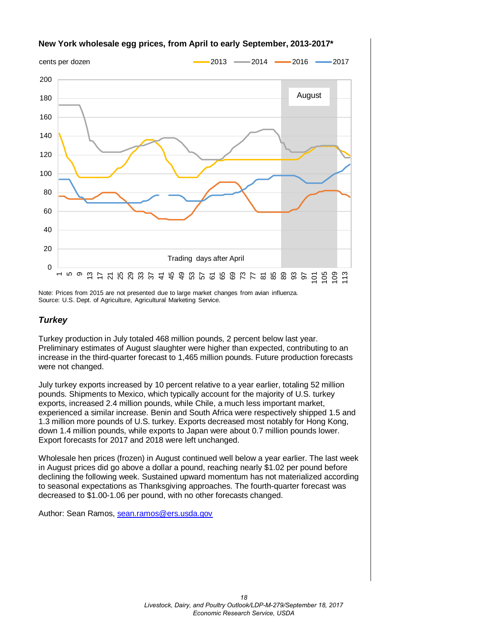

## **New York wholesale egg prices, from April to early September, 2013-2017\***

Note: Prices from 2015 are not presented due to large market changes from avian influenza. Source: U.S. Dept. of Agriculture, Agricultural Marketing Service.

### *Turkey*

Turkey production in July totaled 468 million pounds, 2 percent below last year. Preliminary estimates of August slaughter were higher than expected, contributing to an increase in the third-quarter forecast to 1,465 million pounds. Future production forecasts were not changed.

July turkey exports increased by 10 percent relative to a year earlier, totaling 52 million pounds. Shipments to Mexico, which typically account for the majority of U.S. turkey exports, increased 2.4 million pounds, while Chile, a much less important market, experienced a similar increase. Benin and South Africa were respectively shipped 1.5 and 1.3 million more pounds of U.S. turkey. Exports decreased most notably for Hong Kong, down 1.4 million pounds, while exports to Japan were about 0.7 million pounds lower. Export forecasts for 2017 and 2018 were left unchanged.

Wholesale hen prices (frozen) in August continued well below a year earlier. The last week in August prices did go above a dollar a pound, reaching nearly \$1.02 per pound before declining the following week. Sustained upward momentum has not materialized according to seasonal expectations as Thanksgiving approaches. The fourth-quarter forecast was decreased to \$1.00-1.06 per pound, with no other forecasts changed.

Author: Sean Ramos, [sean.ramos@ers.usda.gov](mailto:sean.ramos@ers.usda.gov)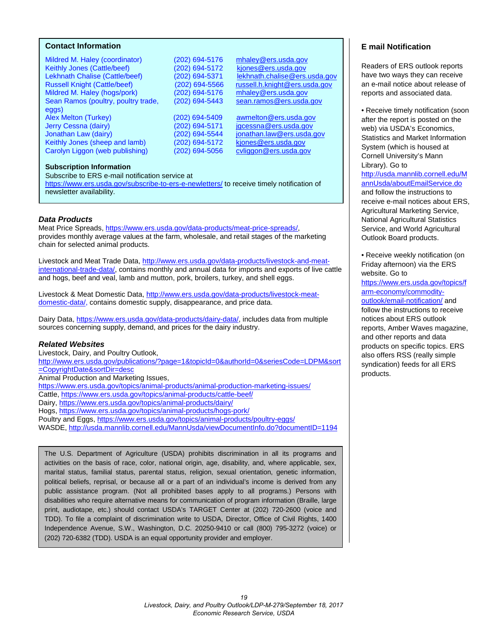#### <span id="page-18-0"></span>**Contact Information**

Mildred M. Haley (coordinator) (202) 694-5176 [mhaley@ers.usda.gov](mailto:mhaley@ers.usda.gov) Keithly Jones (Cattle/beef) (202) 694-5172 kjones@ers.usda.gov<br>Lekhnath Chalise (Cattle/beef) (202) 694-5371 lekhnath.chalise@ers. Lekhnath Chalise (Cattle/beef) (202) 694-5371 lekhnath.chalise@ers.usda.gov<br>Russell Knight (Cattle/beef) (202) 694-5566 russell.h.knight@ers.usda.gov Mildred M. Haley (hogs/pork) Sean Ramos (poultry, poultry trade, (202) 694-5443 [sean.ramos@ers.usda.gov](mailto:sean.ramos@ers.usda.gov) eggs)<br>Alex Melton (Turkey) Jerry Cessna (dairy) (202) 694-5171 [jgcessna@ers.usda.gov](mailto:jgcessna@ers.usda.gov) Jonathan Law (dairy) (202) 694-5544 [jonathan.law@ers.usda.gov](mailto:jonathan.law@ers.usda.gov) Keithly Jones (sheep and lamb) (202) 694-5172 [kjones@ers.usda.gov](mailto:kjones@ers.usda.gov) Carolyn Liggon (web publishing) (202) 694-5056 [cvliggon@ers.usda.gov](mailto:cvliggon@ers.usda.gov)

Russell Knight (Cattle/beef) (202) 694-5566 [russell.h.knight@ers.usda.gov](mailto:russell.h.knight@ers.usda.gov)

(202) 694-5409 [awmelton@ers.usda.gov](mailto:awmelton@ers.usda.gov)<br>(202) 694-5171 igcessna@ers.usda.gov

#### **Subscription Information**

Subscribe to ERS e-mail notification service at <https://www.ers.usda.gov/subscribe-to-ers-e-newletters/> to receive timely notification of

newsletter availability.

#### *Data Products*

Meat Price Spreads, [https://www.ers.usda.gov/data-products/meat-price-spreads/,](https://www.ers.usda.gov/data-products/meat-price-spreads/) provides monthly average values at the farm, wholesale, and retail stages of the marketing chain for selected animal products.

Livestock and Meat Trade Data, [http://www.ers.usda.gov/data-products/livestock-and-meat](http://www.ers.usda.gov/data-products/livestock-and-meat-international-trade-data/)[international-trade-data/,](http://www.ers.usda.gov/data-products/livestock-and-meat-international-trade-data/) contains monthly and annual data for imports and exports of live cattle and hogs, beef and veal, lamb and mutton, pork, broilers, turkey, and shell eggs.

Livestock & Meat Domestic Data, http://www.ers.usda.gov/data-products/livestock-meatdomestic-data/, contains domestic supply, disappearance, and price data.

Dairy Data, [https://www.ers.usda.gov/data-products/dairy-data/,](https://www.ers.usda.gov/data-products/dairy-data/) includes data from multiple sources concerning supply, demand, and prices for the dairy industry.

#### *Related Websites*

Livestock, Dairy, and Poultry Outlook, [http://www.ers.usda.gov/publications/?page=1&topicId=0&authorId=0&seriesCode=LDPM&sort](http://www.ers.usda.gov/publications/?page=1&topicId=0&authorId=0&seriesCode=LDPM&sort=CopyrightDate&sortDir=desc) [=CopyrightDate&sortDir=desc](http://www.ers.usda.gov/publications/?page=1&topicId=0&authorId=0&seriesCode=LDPM&sort=CopyrightDate&sortDir=desc)  Animal Production and Marketing Issues, <https://www.ers.usda.gov/topics/animal-products/animal-production-marketing-issues/> Cattle,<https://www.ers.usda.gov/topics/animal-products/cattle-beef/> Dairy,<https://www.ers.usda.gov/topics/animal-products/dairy/>

Hogs,<https://www.ers.usda.gov/topics/animal-products/hogs-pork/>

Poultry and Eggs,<https://www.ers.usda.gov/topics/animal-products/poultry-eggs/>

WASDE,<http://usda.mannlib.cornell.edu/MannUsda/viewDocumentInfo.do?documentID=1194>

The U.S. Department of Agriculture (USDA) prohibits discrimination in all its programs and activities on the basis of race, color, national origin, age, disability, and, where applicable, sex, marital status, familial status, parental status, religion, sexual orientation, genetic information, political beliefs, reprisal, or because all or a part of an individual's income is derived from any public assistance program. (Not all prohibited bases apply to all programs.) Persons with disabilities who require alternative means for communication of program information (Braille, large print, audiotape, etc.) should contact USDA's TARGET Center at (202) 720-2600 (voice and TDD). To file a complaint of discrimination write to USDA, Director, Office of Civil Rights, 1400 Independence Avenue, S.W., Washington, D.C. 20250-9410 or call (800) 795-3272 (voice) or (202) 720-6382 (TDD). USDA is an equal opportunity provider and employer.

#### **E mail Notification**

Readers of ERS outlook reports have two ways they can receive an e-mail notice about release of reports and associated data.

• Receive timely notification (soon after the report is posted on the web) via USDA's Economics, Statistics and Market Information System (which is housed at Cornell University's Mann Library). Go to [http://usda.mannlib.cornell.edu/M](http://usda.mannlib.cornell.edu/MannUsda/aboutEmailService.do) [annUsda/aboutEmailService.do](http://usda.mannlib.cornell.edu/MannUsda/aboutEmailService.do) and follow the instructions to receive e-mail notices about ERS, Agricultural Marketing Service, National Agricultural Statistics Service, and World Agricultural Outlook Board products.

• Receive weekly notification (on Friday afternoon) via the ERS website. Go to

[https://www.ers.usda.gov/topics/f](https://www.ers.usda.gov/topics/farm-economy/commodity-outlook/email-notification/) [arm-economy/commodity](https://www.ers.usda.gov/topics/farm-economy/commodity-outlook/email-notification/)[outlook/email-notification/](https://www.ers.usda.gov/topics/farm-economy/commodity-outlook/email-notification/) and follow the instructions to receive notices about ERS outlook reports, Amber Waves magazine, and other reports and data products on specific topics. ERS also offers RSS (really simple syndication) feeds for all ERS products.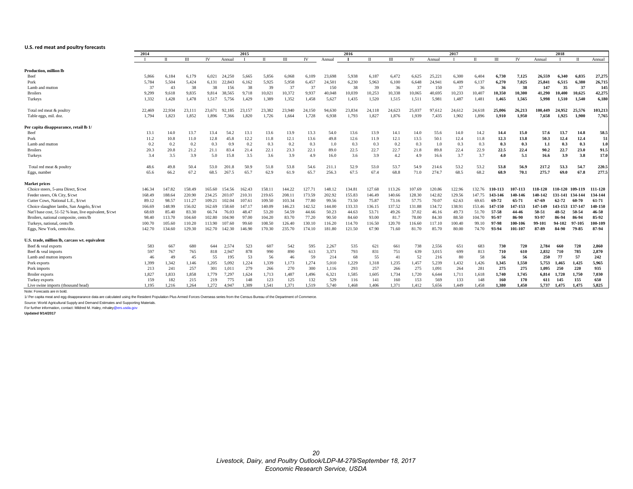#### <span id="page-19-0"></span>**U.S. red meat and poultry forecasts**

|                                                        | 2015<br>2014 |        |        |           | 2016   |        |              | 2017   |        |        |              | 2018   |        |        |        |        |        |         |         |         |         |         |         |
|--------------------------------------------------------|--------------|--------|--------|-----------|--------|--------|--------------|--------|--------|--------|--------------|--------|--------|--------|--------|--------|--------|---------|---------|---------|---------|---------|---------|
|                                                        |              |        | Ш      | <b>IV</b> | Annual |        | $\mathbf{u}$ | III    | IV     | Annual | $\mathbf{I}$ |        | III    | IV     | Annual |        | $\Pi$  | $\Pi$   | IV      | Annual  |         | $\Pi$   | Annual  |
| <b>Production, million lb</b>                          |              |        |        |           |        |        |              |        |        |        |              |        |        |        |        |        |        |         |         |         |         |         |         |
| Beef                                                   | 5.866        | 6.184  | 6,179  | 6.021     | 24,250 | 5.665  | 5,856        | 6,068  | 6,109  | 23,698 | 5,938        | 6,187  | 6.472  | 6,625  | 25,221 | 6.300  | 6.404  | 6,730   | 7,125   | 26.559  | 6.340   | 6,835   | 27,275  |
| Pork                                                   | 5.784        | 5.504  | 5,424  | 6.131     | 22.843 | 6.162  | 5.925        | 5.958  | 6,457  | 24.501 | 6.230        | 5,963  | 6.100  | 6.648  | 24,941 | 6.409  | 6.137  | 6,270   | 7.025   | 25.841  | 6.515   | 6.380   | 26,715  |
| Lamb and mutton                                        | 37           | 43     | 38     | 38        | 156    | 38     | 39           | 37     | 37     | 150    | 38           | 39     | 36     | 37     | 150    | 37     | 36     | 36      | 38      | 147     | 35      | 37      | 145     |
| <b>Broilers</b>                                        | 9,299        | 9,618  | 9,835  | 9.814     | 38.565 | 9,718  | 10.021       | 10.372 | 9,937  | 40.048 | 10,039       | 10,253 | 10.338 | 10.065 | 40,695 | 10,233 | 10,407 | 10,350  | 10.300  | 41,290  | 10.400  | 10.625  | 42,275  |
| Turkeys                                                | 1.332        | 1,428  | 1,478  | 1.517     | 5,756  | 1.429  | 1.389        | 1.352  | 1,458  | 5.627  | 1,435        | 1,520  | 1.515  | 1,511  | 5,981  | 1.487  | 1,481  | 1,465   | 1.565   | 5,998   | 1,510   | 1,540   | 6,180   |
| Total red meat & poultry                               | 22,469       | 22,934 | 23,111 | 23.671    | 92.185 | 23,157 | 23.382       | 23,940 | 24,150 | 94,630 | 23,834       | 24,118 | 24,623 | 25,037 | 97,612 | 24,612 | 24,618 | 25.006  | 26,213  | 100.449 | 24.952  | 25.576  | 103,213 |
| Table eggs, mil. doz                                   | 1.794        | 1,823  | 1,852  | 1.896     | 7.366  | 1,820  | 1.726        | 1.664  | 1,728  | 6,938  | 1,793        | 1,827  | 1,876  | 1.939  | 7,435  | 1,902  | 1.896  | 1,910   | 1,950   | 7,658   | 1.925   | 1,900   | 7,765   |
| Per capita disappearance, retail lb 1/                 |              |        |        |           |        |        |              |        |        |        |              |        |        |        |        |        |        |         |         |         |         |         |         |
| Beef                                                   | 13.1         | 14.0   | 13.7   | 13.4      | 54.2   | 13.1   | 13.6         | 13.9   | 13.3   | 54.0   | 13.6         | 13.9   | 14.1   | 14.0   | 55.6   | 14.0   | 14.2   | 14.4    | 15.0    | 57.6    | 13.7    | 14.8    | 58.5    |
| Pork                                                   | 11.2         | 10.8   | 11.0   | 12.8      | 45.8   | 12.2   | 11.8         | 12.1   | 13.6   | 49.8   | 12.6         | 11.9   | 12.1   | 13.5   | 50.1   | 12.4   | 11.8   | 12.3    | 13.8    | 50.3    | 12.4    | 12.4    | 51      |
| Lamb and mutton                                        | 0.2          | 0.2    | 0.2    | 0.3       | 0.9    | 0.2    | 0.3          | 0.2    | 0.3    | 1.0    | 0.3          | 0.3    | 0.2    | 0.3    | 1.0    | 0.3    | 0.3    | 0.3     | 0.3     | 1.1     | 0.3     | 0.3     | 1.0     |
| <b>Broilers</b>                                        | 20.3         | 20.8   | 21.2   | 21.1      | 83.4   | 21.4   | 22.1         | 23.3   | 22.1   | 89.0   | 22.5         | 22.7   | 22.7   | 21.8   | 89.8   | 22.4   | 22.9   | 22.5    | 22.4    | 90.2    | 22.7    | 23.0    | 91.5    |
| Turkeys                                                | 3.4          | 3.5    | 3.9    | 5.0       | 15.8   | 3.5    | 3.6          | 3.9    | 4.9    | 16.0   | 3.6          | 3.9    | 4.2    | 4.9    | 16.6   | 3.7    | 3.7    | 4.0     | 5.1     | 16.6    | 3.9     | 3.8     | 17.0    |
| Total red meat & poultry                               | 48.6         | 49.8   | 50.4   | 53.0      | 201.8  | 50.9   | 51.8         | 53.8   | 54.6   | 211.1  | 52.9         | 53.0   | 53.7   | 54.9   | 214.6  | 53.2   | 53.2   | 53.8    | 56.9    | 217.2   | 53.3    | 54.7    | 220.5   |
| Eggs, number                                           | 65.6         | 66.2   | 67.2   | 68.5      | 267.5  | 65.7   | 62.9         | 61.9   | 65.7   | 256.3  | 67.5         | 67.4   | 68.8   | 71.0   | 274.7  | 68.5   | 68.2   | 68.9    | 70.1    | 275.7   | 69.0    | 67.8    | 277.5   |
| <b>Market prices</b>                                   |              |        |        |           |        |        |              |        |        |        |              |        |        |        |        |        |        |         |         |         |         |         |         |
| Choice steers, 5-area Direct, \$/cwt                   | 146.34       | 147.82 | 158.49 | 165.60    | 154.56 | 162.43 | 158.11       | 144.22 | 127.71 | 148.12 | 134.81       | 127.68 | 113.26 | 107.69 | 120.86 | 122.96 | 132.76 | 110-113 | 107-113 | 118-120 | 110-120 | 109-119 | 111-120 |
| Feeder steers, Ok City, \$/cwt                         | 168.49       | 188.64 | 220.90 | 234.25    | 203.07 | 210.31 | 219.65       | 208.11 | 173.59 | 202.92 | 155.83       | 146.49 | 140.66 | 128.30 | 142.82 | 129.56 | 147.75 | 143-146 | 140-146 | 140-142 | 131-141 | 134-144 | 134-144 |
| Cutter Cows, National L.E., \$/cwt                     | 89.12        | 98.57  | 111.27 | 109.21    | 102.04 | 107.61 | 109.50       | 103.34 | 77.80  | 99.56  | 73.50        | 75.87  | 73.16  | 57.75  | 70.07  | 62.63  | 69.65  | 69-72   | 65-71   | 67-69   | 62-72   | 60-70   | 61-71   |
| Choice slaughter lambs, San Angelo, \$/cw              | 166.69       | 148.99 | 156.02 | 162.69    | 158.60 | 147.17 | 140.09       | 146.23 | 142.52 | 144.00 | 133.33       | 136.15 | 137.52 | 131.88 | 134.72 | 138.91 | 153.46 | 147-150 | 147-153 | 147-149 | 143-153 | 137-147 | 140-150 |
| Nat'l base cost, 51-52 % lean, live equivalent, \$/cwt | 68.69        | 85.40  | 83.30  | 66.74     | 76.03  | 48.47  | 53.20        | 54.59  | 44.66  | 50.23  | 44.63        | 53.71  | 49.26  | 37.02  | 46.16  | 49.73  | 51.70  | 57-58   | 44-46   | 50-51   | 48-52   | 50-54   | 46-50   |
| Broilers, national composite, cents/lb                 | 98.40        | 113.70 | 104.60 | 102.80    | 104.90 | 97.00  | 104.20       | 83.70  | 77.20  | 90.50  | 84.60        | 93.00  | 81.7   | 78.00  | 84.30  | 88.50  | 104.70 | 95-97   | 86-90   | 93-97   | 86-94   | 86-94   | 85-92   |
| Turkeys, national, cents/lb                            | 100.70       | 105.60 | 110.20 | 113.90    | 107.60 | 99.60  | 108.50       | 126.40 | 130.10 | 116.20 | 114.70       | 116.50 | 120.70 | 116.60 | 117.10 | 100.40 | 99.10  | 97-98   | 100-106 | 99-101  | 94-102  | 97-105  | 100-109 |
| Eggs, New York, cents/doz.                             | 142.70       | 134.60 | 129.30 | 162.70    | 142.30 | 146.90 | 170.30       | 235.70 | 174.10 | 181.80 | 121.50       | 67.90  | 71.60  | 81.70  | 85.70  | 80.00  | 74.70  | 93-94   | 101-107 | 87-89   | 84-90   | 79-85   | 87-94   |
| U.S. trade, million lb, carcass wt. equivalent         |              |        |        |           |        |        |              |        |        |        |              |        |        |        |        |        |        |         |         |         |         |         |         |
| Beef & veal exports                                    | 583          | 667    | 680    | 644       | 2,574  | 523    | 607          | 542    | 595    | 2,267  | 535          | 621    | 661    | 738    | 2,556  | 651    | 683    | 730     | 720     | 2,784   | 660     | 720     | 2,860   |
| Beef & veal imports                                    | 597          | 767    | 765    | 818       | 2.947  | 878    | 990          | 890    | 613    | 3,371  | 793          | 831    | 751    | 639    | 3,015  | 699    | 813    | 710     | 610     | 2,832   | 710     | 785     | 2,870   |
| Lamb and mutton imports                                | 46           | 49     | 45     | 55        | 195    | 53     | 56           | 46     | 59     | 214    | 68           | 55     | 41     | 52     | 216    | 80     | 58     | 56      | 56      | 250     | 77      | 57      | 242     |
| Pork exports                                           | 1,399        | 1.342  | 1.146  | 1,205     | 5.092  | 1,224  | 1.339        | 1,173  | 1,274  | 5.010  | 1,229        | 1,318  | 1,235  | 1,457  | 5,239  | 1.432  | 1,426  | 1,345   | 1.550   | 5.753   | 1.465   | 1,425   | 5,965   |
| Pork imports                                           | 213          | 241    | 257    | 301       | 1.011  | 279    | 266          | 270    | 300    | 1.116  | 293          | 257    | 266    | 275    | 1.091  | 264    | 281    | 275     | 275     | 1.095   | 250     | 220     | 935     |
| <b>Broiler</b> exports                                 | 1,827        | 1,833  | 1,858  | 1,779     | 7,297  | 1,624  | 1,713        | 1,487  | 1,496  | 6,321  | 1,585        | 1,605  | 1,734  | 1,720  | 6,644  | 1,711  | 1,618  | 1,740   | 1,745   | 6,814   | 1,720   | 1,750   | 7,030   |
| Turkey exports                                         | 159          | 182    | 215    | 219       | 775    | 148    | 123          | 125    | 132    | 529    | 116          | 141    | 160    | 153    | 569    | 133    | 148    | 160     | 170     | 611     | 145     | 155     | 650     |
| Live swine imports (thousand head)                     | 1.195        | 1.216  | 1.264  | 1.272     | 4.947  | 1.309  | 1.541        | 1.371  | 1.519  | 5.740  | 1.468        | 1.406  | 1.371  | 1.412  | 5.656  | 1.449  | 1.458  | 1.380   | 1.450   | 5.737   | 1.475   | 1.475   | 5.825   |
| Note: Forecasts are in bold.                           |              |        |        |           |        |        |              |        |        |        |              |        |        |        |        |        |        |         |         |         |         |         |         |

1/ Per capita meat and egg disappearance data are calculated using the Resident Population Plus Armed Forces Overseas series from the Census Bureau of the Department of Commerce.

Source: World Agricultural Supply and Demand Estimates and Supporting Materials.<br>For further information, contact: Mildred M. Haley, mhaley@ers.usda.gov

**Updated 9/14/2017**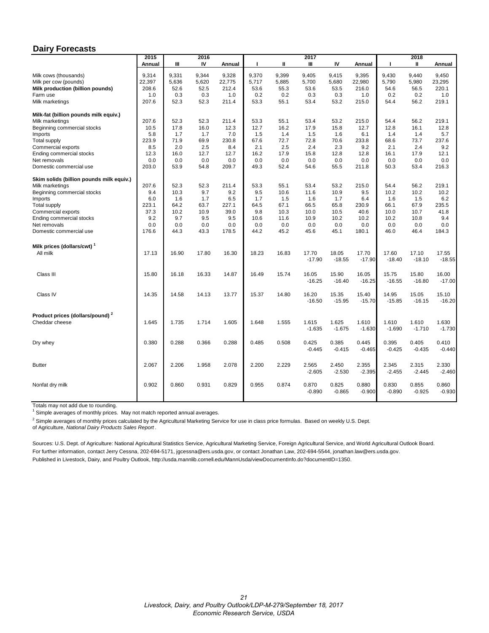#### <span id="page-20-0"></span>**Dairy Forecasts**

|                                             | 2015   |       | 2016  |        | 2017  |       |          |          |          | 2018     |          |          |  |
|---------------------------------------------|--------|-------|-------|--------|-------|-------|----------|----------|----------|----------|----------|----------|--|
|                                             | Annual | Ш     | IV    | Annual | л     | Ш     | Ш        | IV       | Annual   | Τ.       | Ш        | Annual   |  |
| Milk cows (thousands)                       | 9,314  | 9,331 | 9,344 | 9,328  | 9,370 | 9,399 | 9,405    | 9,415    | 9,395    | 9,430    | 9,440    | 9,450    |  |
| Milk per cow (pounds)                       | 22,397 | 5,636 | 5,620 | 22,775 | 5,717 | 5,885 | 5,700    | 5,680    | 22,980   | 5,790    | 5,980    | 23,295   |  |
| Milk production (billion pounds)            | 208.6  | 52.6  | 52.5  | 212.4  | 53.6  | 55.3  | 53.6     | 53.5     | 216.0    | 54.6     | 56.5     | 220.1    |  |
| Farm use                                    | 1.0    | 0.3   | 0.3   | 1.0    | 0.2   | 0.2   | 0.3      | 0.3      | 1.0      | 0.2      | 0.2      | 1.0      |  |
| Milk marketings                             | 207.6  | 52.3  | 52.3  | 211.4  | 53.3  | 55.1  | 53.4     | 53.2     | 215.0    | 54.4     | 56.2     | 219.1    |  |
|                                             |        |       |       |        |       |       |          |          |          |          |          |          |  |
| Milk-fat (billion pounds milk equiv.)       |        |       |       |        |       |       |          |          |          |          |          |          |  |
| Milk marketings                             | 207.6  | 52.3  | 52.3  | 211.4  | 53.3  | 55.1  | 53.4     | 53.2     | 215.0    | 54.4     | 56.2     | 219.1    |  |
| Beginning commercial stocks                 | 10.5   | 17.8  | 16.0  | 12.3   | 12.7  | 16.2  | 17.9     | 15.8     | 12.7     | 12.8     | 16.1     | 12.8     |  |
| Imports                                     | 5.8    | 1.7   | 1.7   | 7.0    | 1.5   | 1.4   | 1.5      | 1.6      | 6.1      | 1.4      | 1.4      | 5.7      |  |
| Total supply                                | 223.9  | 71.9  | 69.9  | 230.8  | 67.6  | 72.7  | 72.8     | 70.6     | 233.8    | 68.6     | 73.7     | 237.6    |  |
| Commercial exports                          | 8.5    | 2.0   | 2.5   | 8.4    | 2.1   | 2.5   | 2.4      | 2.3      | 9.2      | 2.1      | 2.4      | 9.2      |  |
| Ending commercial stocks                    | 12.3   | 16.0  | 12.7  | 12.7   | 16.2  | 17.9  | 15.8     | 12.8     | 12.8     | 16.1     | 17.9     | 12.1     |  |
| Net removals                                | 0.0    | 0.0   | 0.0   | 0.0    | 0.0   | 0.0   | 0.0      | 0.0      | 0.0      | 0.0      | 0.0      | 0.0      |  |
| Domestic commercial use                     | 203.0  | 53.9  | 54.8  | 209.7  | 49.3  | 52.4  | 54.6     | 55.5     | 211.8    | 50.3     | 53.4     | 216.3    |  |
| Skim solids (billion pounds milk equiv.)    |        |       |       |        |       |       |          |          |          |          |          |          |  |
| Milk marketings                             | 207.6  | 52.3  | 52.3  | 211.4  | 53.3  | 55.1  | 53.4     | 53.2     | 215.0    | 54.4     | 56.2     | 219.1    |  |
| Beginning commercial stocks                 | 9.4    | 10.3  | 9.7   | 9.2    | 9.5   | 10.6  | 11.6     | 10.9     | 9.5      | 10.2     | 10.2     | 10.2     |  |
| Imports                                     | 6.0    | 1.6   | 1.7   | 6.5    | 1.7   | 1.5   | 1.6      | 1.7      | 6.4      | 1.6      | 1.5      | 6.2      |  |
| <b>Total supply</b>                         | 223.1  | 64.2  | 63.7  | 227.1  | 64.5  | 67.1  | 66.5     | 65.8     | 230.9    | 66.1     | 67.9     | 235.5    |  |
| Commercial exports                          | 37.3   | 10.2  | 10.9  | 39.0   | 9.8   | 10.3  | 10.0     | 10.5     | 40.6     | 10.0     | 10.7     | 41.8     |  |
| Ending commercial stocks                    | 9.2    | 9.7   | 9.5   | 9.5    | 10.6  | 11.6  | 10.9     | 10.2     | 10.2     | 10.2     | 10.8     | 9.4      |  |
| Net removals                                | 0.0    | 0.0   | 0.0   | 0.0    | 0.0   | 0.0   | 0.0      | 0.0      | 0.0      | 0.0      | 0.0      | 0.0      |  |
| Domestic commercial use                     | 176.6  | 44.3  | 43.3  | 178.5  | 44.2  | 45.2  | 45.6     | 45.1     | 180.1    | 46.0     | 46.4     | 184.3    |  |
|                                             |        |       |       |        |       |       |          |          |          |          |          |          |  |
| Milk prices (dollars/cwt) <sup>1</sup>      |        |       |       |        |       |       |          |          |          |          |          |          |  |
| All milk                                    | 17.13  | 16.90 | 17.80 | 16.30  | 18.23 | 16.83 | 17.70    | 18.05    | 17.70    | 17.60    | 17.10    | 17.55    |  |
|                                             |        |       |       |        |       |       | $-17.90$ | $-18.55$ | $-17.90$ | $-18.40$ | $-18.10$ | $-18.55$ |  |
|                                             |        |       |       |        |       |       |          |          |          |          |          |          |  |
| Class III                                   | 15.80  | 16.18 | 16.33 | 14.87  | 16.49 | 15.74 | 16.05    | 15.90    | 16.05    | 15.75    | 15.80    | 16.00    |  |
|                                             |        |       |       |        |       |       | $-16.25$ | $-16.40$ | $-16.25$ | $-16.55$ | $-16.80$ | $-17.00$ |  |
|                                             |        |       |       |        |       |       |          |          |          |          |          |          |  |
| Class IV                                    | 14.35  | 14.58 | 14.13 | 13.77  | 15.37 | 14.80 | 16.20    | 15.35    | 15.40    | 14.95    | 15.05    | 15.10    |  |
|                                             |        |       |       |        |       |       | $-16.50$ | $-15.95$ | $-15.70$ | $-15.85$ | $-16.15$ | $-16.20$ |  |
|                                             |        |       |       |        |       |       |          |          |          |          |          |          |  |
| Product prices (dollars/pound) <sup>2</sup> |        |       |       |        |       |       |          |          |          |          |          |          |  |
| Cheddar cheese                              | 1.645  | 1.735 | 1.714 | 1.605  | 1.648 | 1.555 | 1.615    | 1.625    | 1.610    | 1.610    | 1.610    | 1.630    |  |
|                                             |        |       |       |        |       |       | $-1.635$ | $-1.675$ | $-1.630$ | $-1.690$ | $-1.710$ | $-1.730$ |  |
| Dry whey                                    | 0.380  | 0.288 | 0.366 | 0.288  | 0.485 | 0.508 | 0.425    | 0.385    | 0.445    | 0.395    | 0.405    | 0.410    |  |
|                                             |        |       |       |        |       |       | $-0.445$ | $-0.415$ | $-0.465$ | $-0.425$ | $-0.435$ | $-0.440$ |  |
|                                             |        |       |       |        |       |       |          |          |          |          |          |          |  |
| <b>Butter</b>                               | 2.067  | 2.206 | 1.958 | 2.078  | 2.200 | 2.229 | 2.565    | 2.450    | 2.355    | 2.345    | 2.315    | 2.330    |  |
|                                             |        |       |       |        |       |       | $-2.605$ | $-2.530$ | $-2.395$ | $-2.455$ | $-2.445$ | $-2.460$ |  |
|                                             |        |       |       |        |       |       |          |          |          |          |          |          |  |
| Nonfat dry milk                             | 0.902  | 0.860 | 0.931 | 0.829  | 0.955 | 0.874 | 0.870    | 0.825    | 0.880    | 0.830    | 0.855    | 0.860    |  |
|                                             |        |       |       |        |       |       | $-0.890$ | $-0.865$ | $-0.900$ | $-0.890$ | $-0.925$ | $-0.930$ |  |
|                                             |        |       |       |        |       |       |          |          |          |          |          |          |  |
|                                             |        |       |       |        |       |       |          |          |          |          |          |          |  |

Totals may not add due to rounding.

 $1$  Simple averages of monthly prices. May not match reported annual averages.

<sup>2</sup> Simple averages of monthly prices calculated by the Agricultural Marketing Service for use in class price formulas. Based on weekly U.S. Dept.

of Agriculture, *National Dairy Products Sales Report* .

Sources: U.S. Dept. of Agriculture: National Agricultural Statistics Service, Agricultural Marketing Service, Foreign Agricultural Service, and World Agricultural Outlook Board. For further information, contact Jerry Cessna, 202-694-5171, jgcessna@ers.usda.gov, or contact Jonathan Law, 202-694-5544, jonathan.law@ers.usda.gov. Published in Livestock, Dairy, and Poultry Outlook, http://usda.mannlib.cornell.edu/MannUsda/viewDocumentInfo.do?documentID=1350.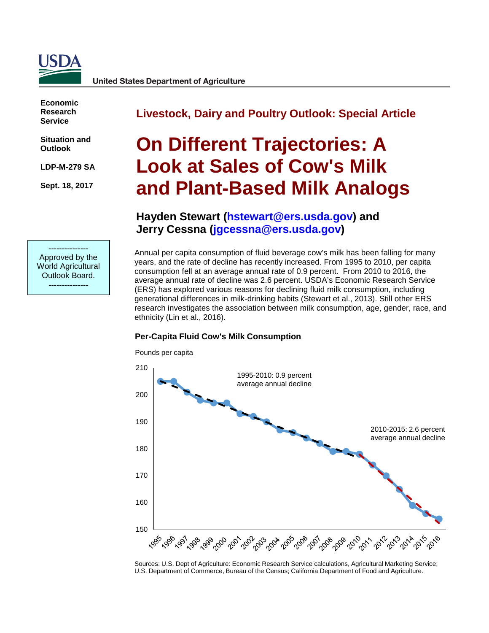<span id="page-21-0"></span>

**Economic Research Service**

**Situation and Outlook**

**LDP-M-279 SA**

**Sept. 18, 2017**

**Livestock, Dairy and Poultry Outlook: Special Article**

# **On Different Trajectories: A Look at Sales of Cow's Milk and Plant-Based Milk Analogs**

## **Hayden Stewart [\(hstewart@ers.usda.gov\)](mailto:hstewart@ers.usda.gov) and Jerry Cessna [\(jgcessna@ers.usda.gov\)](mailto:jgcessna@ers.usda.gov)**

--------------- Approved by the World Agricultural Outlook Board. ---------------

Annual per capita consumption of fluid beverage cow's milk has been falling for many years, and the rate of decline has recently increased. From 1995 to 2010, per capita consumption fell at an average annual rate of 0.9 percent. From 2010 to 2016, the average annual rate of decline was 2.6 percent. USDA's Economic Research Service (ERS) has explored various reasons for declining fluid milk consumption, including generational differences in milk-drinking habits (Stewart et al., 2013). Still other ERS research investigates the association between milk consumption, age, gender, race, and ethnicity (Lin et al., 2016).

#### **Per-Capita Fluid Cow's Milk Consumption**



Sources: U.S. Dept of Agriculture: Economic Research Service calculations, Agricultural Marketing Service; U.S. Department of Commerce, Bureau of the Census; California Department of Food and Agriculture.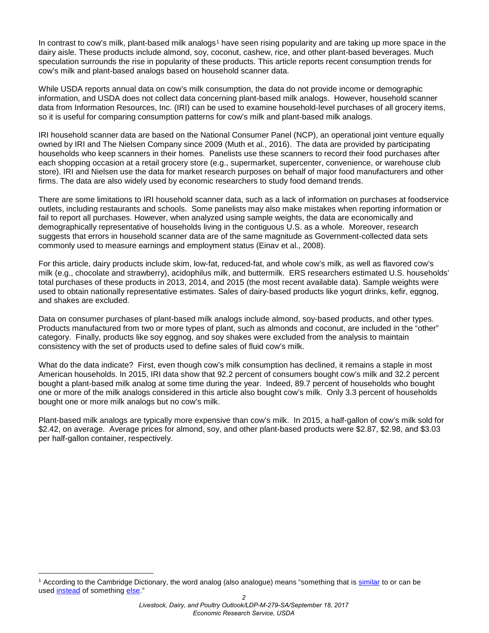In contrast to cow's milk, plant-based milk analogs<sup>[1](#page-22-0)</sup> have seen rising popularity and are taking up more space in the dairy aisle. These products include almond, soy, coconut, cashew, rice, and other plant-based beverages. Much speculation surrounds the rise in popularity of these products. This article reports recent consumption trends for cow's milk and plant-based analogs based on household scanner data.

While USDA reports annual data on cow's milk consumption, the data do not provide income or demographic information, and USDA does not collect data concerning plant-based milk analogs. However, household scanner data from Information Resources, Inc. (IRI) can be used to examine household-level purchases of all grocery items, so it is useful for comparing consumption patterns for cow's milk and plant-based milk analogs.

IRI household scanner data are based on the National Consumer Panel (NCP), an operational joint venture equally owned by IRI and The Nielsen Company since 2009 (Muth et al., 2016). The data are provided by participating households who keep scanners in their homes. Panelists use these scanners to record their food purchases after each shopping occasion at a retail grocery store (e.g., supermarket, supercenter, convenience, or warehouse club store). IRI and Nielsen use the data for market research purposes on behalf of major food manufacturers and other firms. The data are also widely used by economic researchers to study food demand trends.

There are some limitations to IRI household scanner data, such as a lack of information on purchases at foodservice outlets, including restaurants and schools. Some panelists may also make mistakes when reporting information or fail to report all purchases. However, when analyzed using sample weights, the data are economically and demographically representative of households living in the contiguous U.S. as a whole. Moreover, research suggests that errors in household scanner data are of the same magnitude as Government-collected data sets commonly used to measure earnings and employment status (Einav et al., 2008).

For this article, dairy products include skim, low-fat, reduced-fat, and whole cow's milk, as well as flavored cow's milk (e.g., chocolate and strawberry), acidophilus milk, and buttermilk. ERS researchers estimated U.S. households' total purchases of these products in 2013, 2014, and 2015 (the most recent available data). Sample weights were used to obtain nationally representative estimates. Sales of dairy-based products like yogurt drinks, kefir, eggnog, and shakes are excluded.

Data on consumer purchases of plant-based milk analogs include almond, soy-based products, and other types. Products manufactured from two or more types of plant, such as almonds and coconut, are included in the "other" category. Finally, products like soy eggnog, and soy shakes were excluded from the analysis to maintain consistency with the set of products used to define sales of fluid cow's milk.

What do the data indicate? First, even though cow's milk consumption has declined, it remains a staple in most American households. In 2015, IRI data show that 92.2 percent of consumers bought cow's milk and 32.2 percent bought a plant-based milk analog at some time during the year. Indeed, 89.7 percent of households who bought one or more of the milk analogs considered in this article also bought cow's milk. Only 3.3 percent of households bought one or more milk analogs but no cow's milk.

Plant-based milk analogs are typically more expensive than cow's milk. In 2015, a half-gallon of cow's milk sold for \$2.42, on average. Average prices for almond, soy, and other plant-based products were \$2.87, \$2.98, and \$3.03 per half-gallon container, respectively.

<span id="page-22-0"></span><sup>&</sup>lt;sup>1</sup> According to the Cambridge Dictionary, the word analog (also analogue) means "something that is [similar](http://dictionary.cambridge.org/us/dictionary/english/similar) to or can be used [instead](http://dictionary.cambridge.org/us/dictionary/english/instead) of something [else.](http://dictionary.cambridge.org/us/dictionary/english/else)"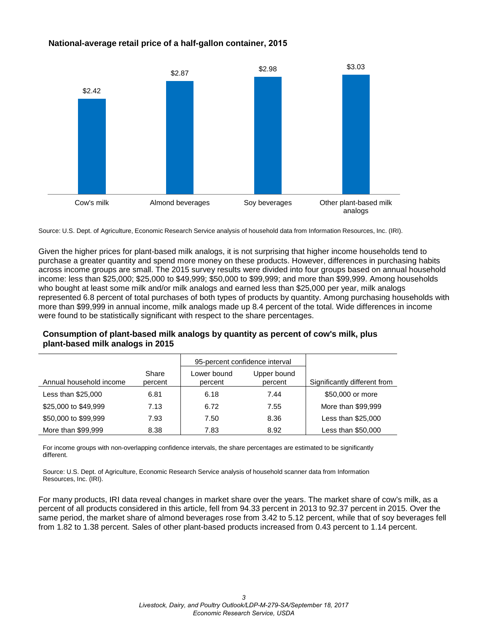#### **National-average retail price of a half-gallon container, 2015**



Source: U.S. Dept. of Agriculture, Economic Research Service analysis of household data from Information Resources, Inc. (IRI).

Given the higher prices for plant-based milk analogs, it is not surprising that higher income households tend to purchase a greater quantity and spend more money on these products. However, differences in purchasing habits across income groups are small. The 2015 survey results were divided into four groups based on annual household income: less than \$25,000; \$25,000 to \$49,999; \$50,000 to \$99,999; and more than \$99,999. Among households who bought at least some milk and/or milk analogs and earned less than \$25,000 per year, milk analogs represented 6.8 percent of total purchases of both types of products by quantity. Among purchasing households with more than \$99,999 in annual income, milk analogs made up 8.4 percent of the total. Wide differences in income were found to be statistically significant with respect to the share percentages.

|                         |                  | 95-percent confidence interval |                        |                              |
|-------------------------|------------------|--------------------------------|------------------------|------------------------------|
| Annual household income | Share<br>percent | Lower bound<br>percent         | Upper bound<br>percent | Significantly different from |
| Less than \$25,000      | 6.81             | 6.18                           | 7.44                   | \$50,000 or more             |
| \$25,000 to \$49,999    | 7.13             | 6.72                           | 7.55                   | More than \$99,999           |
| \$50,000 to \$99,999    | 7.93             | 7.50                           | 8.36                   | Less than \$25,000           |
| More than \$99,999      | 8.38             | 7.83                           | 8.92                   | Less than \$50,000           |

#### **Consumption of plant-based milk analogs by quantity as percent of cow's milk, plus plant-based milk analogs in 2015**

For income groups with non-overlapping confidence intervals, the share percentages are estimated to be significantly different.

Source: U.S. Dept. of Agriculture, Economic Research Service analysis of household scanner data from Information Resources, Inc. (IRI).

For many products, IRI data reveal changes in market share over the years. The market share of cow's milk, as a percent of all products considered in this article, fell from 94.33 percent in 2013 to 92.37 percent in 2015. Over the same period, the market share of almond beverages rose from 3.42 to 5.12 percent, while that of soy beverages fell from 1.82 to 1.38 percent. Sales of other plant-based products increased from 0.43 percent to 1.14 percent.